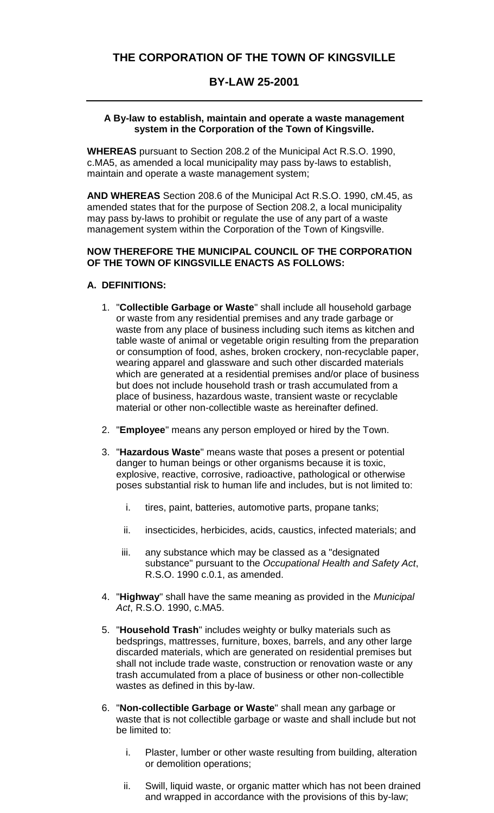# **BY-LAW 25-2001**

### **A By-law to establish, maintain and operate a waste management system in the Corporation of the Town of Kingsville.**

**WHEREAS** pursuant to Section 208.2 of the Municipal Act R.S.O. 1990, c.MA5, as amended a local municipality may pass by-laws to establish, maintain and operate a waste management system;

**AND WHEREAS** Section 208.6 of the Municipal Act R.S.O. 1990, cM.45, as amended states that for the purpose of Section 208.2, a local municipality may pass by-laws to prohibit or regulate the use of any part of a waste management system within the Corporation of the Town of Kingsville.

#### **NOW THEREFORE THE MUNICIPAL COUNCIL OF THE CORPORATION OF THE TOWN OF KINGSVILLE ENACTS AS FOLLOWS:**

### **A. DEFINITIONS:**

- 1. "**Collectible Garbage or Waste**" shall include all household garbage or waste from any residential premises and any trade garbage or waste from any place of business including such items as kitchen and table waste of animal or vegetable origin resulting from the preparation or consumption of food, ashes, broken crockery, non-recyclable paper, wearing apparel and glassware and such other discarded materials which are generated at a residential premises and/or place of business but does not include household trash or trash accumulated from a place of business, hazardous waste, transient waste or recyclable material or other non-collectible waste as hereinafter defined.
- 2. "**Employee**" means any person employed or hired by the Town.
- 3. "**Hazardous Waste**" means waste that poses a present or potential danger to human beings or other organisms because it is toxic, explosive, reactive, corrosive, radioactive, pathological or otherwise poses substantial risk to human life and includes, but is not limited to:
	- i. tires, paint, batteries, automotive parts, propane tanks;
	- ii. insecticides, herbicides, acids, caustics, infected materials; and
	- iii. any substance which may be classed as a "designated substance" pursuant to the *Occupational Health and Safety Act*, R.S.O. 1990 c.0.1, as amended.
- 4. "**Highway**" shall have the same meaning as provided in the *Municipal Act*, R.S.O. 1990, c.MA5.
- 5. "**Household Trash**" includes weighty or bulky materials such as bedsprings, mattresses, furniture, boxes, barrels, and any other large discarded materials, which are generated on residential premises but shall not include trade waste, construction or renovation waste or any trash accumulated from a place of business or other non-collectible wastes as defined in this by-law.
- 6. "**Non-collectible Garbage or Waste**" shall mean any garbage or waste that is not collectible garbage or waste and shall include but not be limited to:
	- i. Plaster, lumber or other waste resulting from building, alteration or demolition operations;
	- ii. Swill, liquid waste, or organic matter which has not been drained and wrapped in accordance with the provisions of this by-law;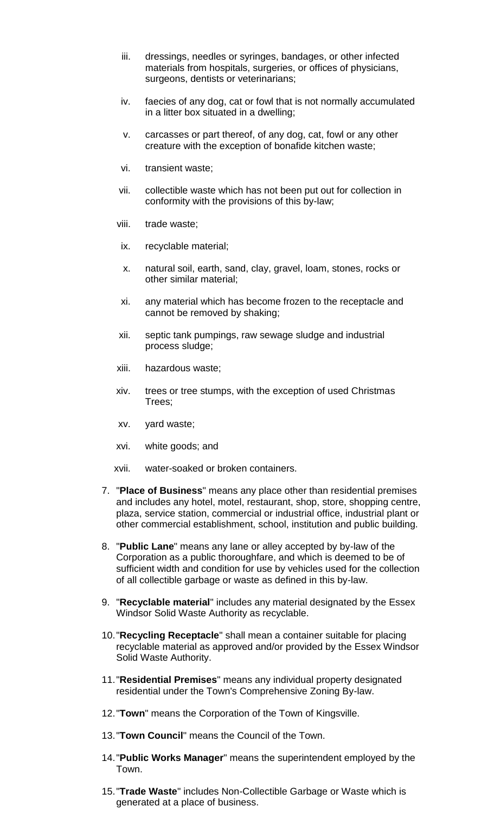- iii. dressings, needles or syringes, bandages, or other infected materials from hospitals, surgeries, or offices of physicians, surgeons, dentists or veterinarians;
- iv. faecies of any dog, cat or fowl that is not normally accumulated in a litter box situated in a dwelling;
- v. carcasses or part thereof, of any dog, cat, fowl or any other creature with the exception of bonafide kitchen waste;
- vi. transient waste;
- vii. collectible waste which has not been put out for collection in conformity with the provisions of this by-law;
- viii. trade waste;
- ix. recyclable material;
- x. natural soil, earth, sand, clay, gravel, loam, stones, rocks or other similar material;
- xi. any material which has become frozen to the receptacle and cannot be removed by shaking;
- xii. septic tank pumpings, raw sewage sludge and industrial process sludge;
- xiii. hazardous waste;
- xiv. trees or tree stumps, with the exception of used Christmas Trees;
- xv. yard waste;
- xvi. white goods; and
- xvii. water-soaked or broken containers.
- 7. "**Place of Business**" means any place other than residential premises and includes any hotel, motel, restaurant, shop, store, shopping centre, plaza, service station, commercial or industrial office, industrial plant or other commercial establishment, school, institution and public building.
- 8. "**Public Lane**" means any lane or alley accepted by by-law of the Corporation as a public thoroughfare, and which is deemed to be of sufficient width and condition for use by vehicles used for the collection of all collectible garbage or waste as defined in this by-law.
- 9. "**Recyclable material**" includes any material designated by the Essex Windsor Solid Waste Authority as recyclable.
- 10."**Recycling Receptacle**" shall mean a container suitable for placing recyclable material as approved and/or provided by the Essex Windsor Solid Waste Authority.
- 11."**Residential Premises**" means any individual property designated residential under the Town's Comprehensive Zoning By-law.
- 12."**Town**" means the Corporation of the Town of Kingsville.
- 13."**Town Council**" means the Council of the Town.
- 14."**Public Works Manager**" means the superintendent employed by the Town.
- 15."**Trade Waste**" includes Non-Collectible Garbage or Waste which is generated at a place of business.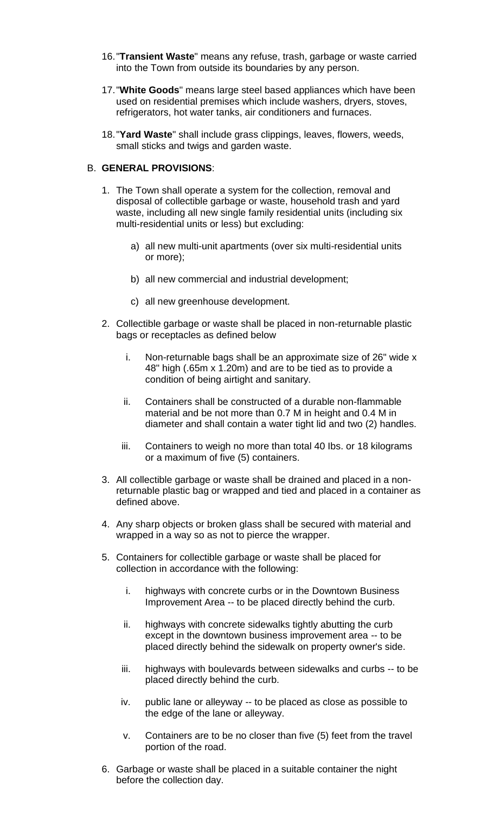- 16."**Transient Waste**" means any refuse, trash, garbage or waste carried into the Town from outside its boundaries by any person.
- 17."**White Goods**" means large steel based appliances which have been used on residential premises which include washers, dryers, stoves, refrigerators, hot water tanks, air conditioners and furnaces.
- 18."**Yard Waste**" shall include grass clippings, leaves, flowers, weeds, small sticks and twigs and garden waste.

#### B. **GENERAL PROVISIONS**:

- 1. The Town shall operate a system for the collection, removal and disposal of collectible garbage or waste, household trash and yard waste, including all new single family residential units (including six multi-residential units or less) but excluding:
	- a) all new multi-unit apartments (over six multi-residential units or more);
	- b) all new commercial and industrial development;
	- c) all new greenhouse development.
- 2. Collectible garbage or waste shall be placed in non-returnable plastic bags or receptacles as defined below
	- i. Non-returnable bags shall be an approximate size of 26" wide x 48" high (.65m x 1.20m) and are to be tied as to provide a condition of being airtight and sanitary.
	- ii. Containers shall be constructed of a durable non-flammable material and be not more than 0.7 M in height and 0.4 M in diameter and shall contain a water tight lid and two (2) handles.
	- iii. Containers to weigh no more than total 40 Ibs. or 18 kilograms or a maximum of five (5) containers.
- 3. All collectible garbage or waste shall be drained and placed in a nonreturnable plastic bag or wrapped and tied and placed in a container as defined above.
- 4. Any sharp objects or broken glass shall be secured with material and wrapped in a way so as not to pierce the wrapper.
- 5. Containers for collectible garbage or waste shall be placed for collection in accordance with the following:
	- i. highways with concrete curbs or in the Downtown Business Improvement Area -- to be placed directly behind the curb.
	- ii. highways with concrete sidewalks tightly abutting the curb except in the downtown business improvement area -- to be placed directly behind the sidewalk on property owner's side.
	- iii. highways with boulevards between sidewalks and curbs -- to be placed directly behind the curb.
	- iv. public lane or alleyway -- to be placed as close as possible to the edge of the lane or alleyway.
	- v. Containers are to be no closer than five (5) feet from the travel portion of the road.
- 6. Garbage or waste shall be placed in a suitable container the night before the collection day.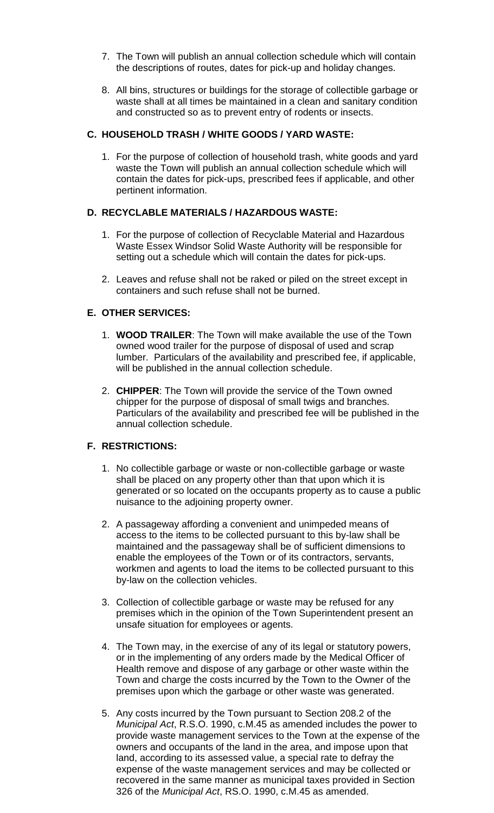- 7. The Town will publish an annual collection schedule which will contain the descriptions of routes, dates for pick-up and holiday changes.
- 8. All bins, structures or buildings for the storage of collectible garbage or waste shall at all times be maintained in a clean and sanitary condition and constructed so as to prevent entry of rodents or insects.

## **C. HOUSEHOLD TRASH / WHITE GOODS / YARD WASTE:**

1. For the purpose of collection of household trash, white goods and yard waste the Town will publish an annual collection schedule which will contain the dates for pick-ups, prescribed fees if applicable, and other pertinent information.

## **D. RECYCLABLE MATERIALS / HAZARDOUS WASTE:**

- 1. For the purpose of collection of Recyclable Material and Hazardous Waste Essex Windsor Solid Waste Authority will be responsible for setting out a schedule which will contain the dates for pick-ups.
- 2. Leaves and refuse shall not be raked or piled on the street except in containers and such refuse shall not be burned.

## **E. OTHER SERVICES:**

- 1. **WOOD TRAILER**: The Town will make available the use of the Town owned wood trailer for the purpose of disposal of used and scrap lumber. Particulars of the availability and prescribed fee, if applicable, will be published in the annual collection schedule.
- 2. **CHIPPER**: The Town will provide the service of the Town owned chipper for the purpose of disposal of small twigs and branches. Particulars of the availability and prescribed fee will be published in the annual collection schedule.

# **F. RESTRICTIONS:**

- 1. No collectible garbage or waste or non-collectible garbage or waste shall be placed on any property other than that upon which it is generated or so located on the occupants property as to cause a public nuisance to the adjoining property owner.
- 2. A passageway affording a convenient and unimpeded means of access to the items to be collected pursuant to this by-law shall be maintained and the passageway shall be of sufficient dimensions to enable the employees of the Town or of its contractors, servants, workmen and agents to load the items to be collected pursuant to this by-law on the collection vehicles.
- 3. Collection of collectible garbage or waste may be refused for any premises which in the opinion of the Town Superintendent present an unsafe situation for employees or agents.
- 4. The Town may, in the exercise of any of its legal or statutory powers, or in the implementing of any orders made by the Medical Officer of Health remove and dispose of any garbage or other waste within the Town and charge the costs incurred by the Town to the Owner of the premises upon which the garbage or other waste was generated.
- 5. Any costs incurred by the Town pursuant to Section 208.2 of the *Municipal Act*, R.S.O. 1990, c.M.45 as amended includes the power to provide waste management services to the Town at the expense of the owners and occupants of the land in the area, and impose upon that land, according to its assessed value, a special rate to defray the expense of the waste management services and may be collected or recovered in the same manner as municipal taxes provided in Section 326 of the *Municipal Act*, RS.O. 1990, c.M.45 as amended.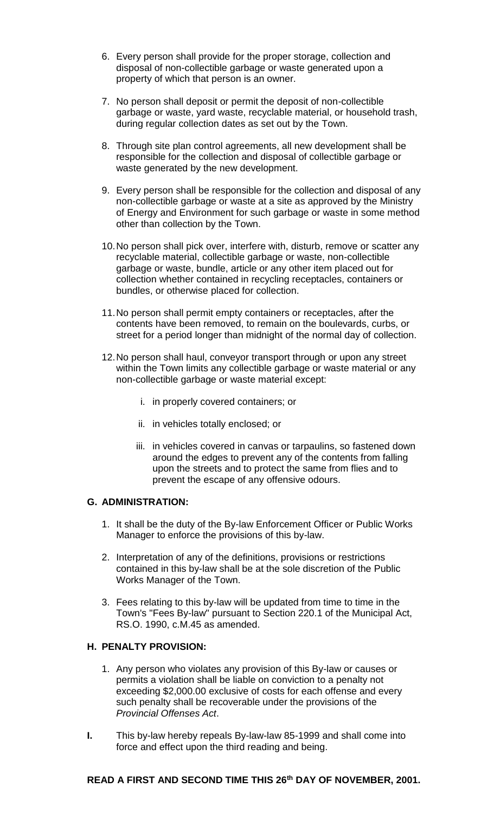- 6. Every person shall provide for the proper storage, collection and disposal of non-collectible garbage or waste generated upon a property of which that person is an owner.
- 7. No person shall deposit or permit the deposit of non-collectible garbage or waste, yard waste, recyclable material, or household trash, during regular collection dates as set out by the Town.
- 8. Through site plan control agreements, all new development shall be responsible for the collection and disposal of collectible garbage or waste generated by the new development.
- 9. Every person shall be responsible for the collection and disposal of any non-collectible garbage or waste at a site as approved by the Ministry of Energy and Environment for such garbage or waste in some method other than collection by the Town.
- 10.No person shall pick over, interfere with, disturb, remove or scatter any recyclable material, collectible garbage or waste, non-collectible garbage or waste, bundle, article or any other item placed out for collection whether contained in recycling receptacles, containers or bundles, or otherwise placed for collection.
- 11.No person shall permit empty containers or receptacles, after the contents have been removed, to remain on the boulevards, curbs, or street for a period longer than midnight of the normal day of collection.
- 12.No person shall haul, conveyor transport through or upon any street within the Town limits any collectible garbage or waste material or any non-collectible garbage or waste material except:
	- i. in properly covered containers; or
	- ii. in vehicles totally enclosed; or
	- iii. in vehicles covered in canvas or tarpaulins, so fastened down around the edges to prevent any of the contents from falling upon the streets and to protect the same from flies and to prevent the escape of any offensive odours.

### **G. ADMINISTRATION:**

- 1. It shall be the duty of the By-law Enforcement Officer or Public Works Manager to enforce the provisions of this by-law.
- 2. Interpretation of any of the definitions, provisions or restrictions contained in this by-law shall be at the sole discretion of the Public Works Manager of the Town.
- 3. Fees relating to this by-law will be updated from time to time in the Town's "Fees By-law" pursuant to Section 220.1 of the Municipal Act, RS.O. 1990, c.M.45 as amended.

### **H. PENALTY PROVISION:**

- 1. Any person who violates any provision of this By-law or causes or permits a violation shall be liable on conviction to a penalty not exceeding \$2,000.00 exclusive of costs for each offense and every such penalty shall be recoverable under the provisions of the *Provincial Offenses Act*.
- **I.** This by-law hereby repeals By-law-law 85-1999 and shall come into force and effect upon the third reading and being.